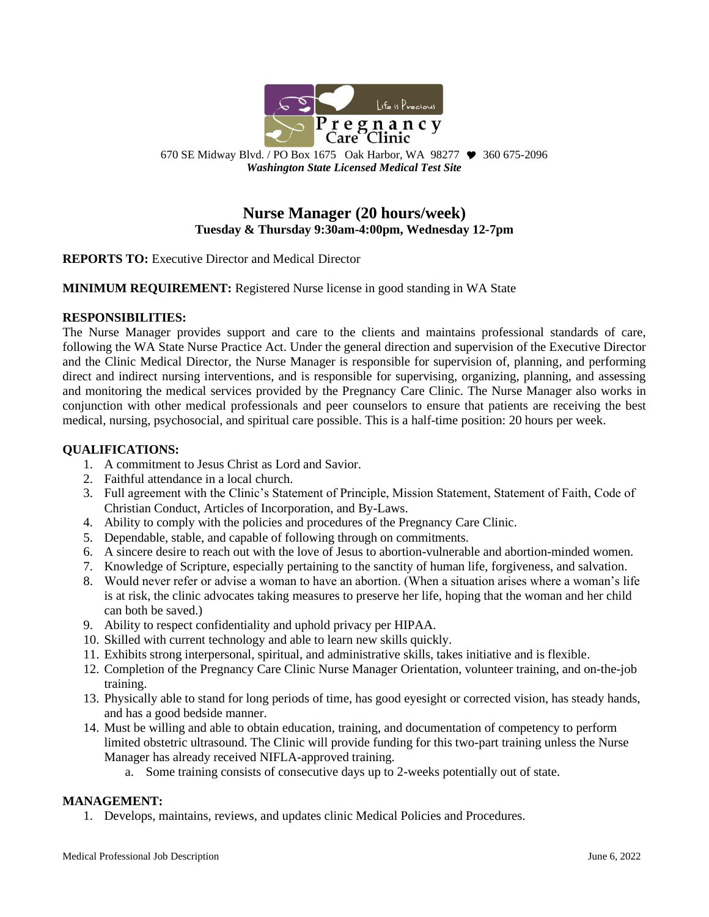

670 SE Midway Blvd. / PO Box 1675 Oak Harbor, WA 98277  $\blacktriangledown$  360 675-2096 *Washington State Licensed Medical Test Site*

# **Nurse Manager (20 hours/week) Tuesday & Thursday 9:30am-4:00pm, Wednesday 12-7pm**

**REPORTS TO:** Executive Director and Medical Director

**MINIMUM REQUIREMENT:** Registered Nurse license in good standing in WA State

#### **RESPONSIBILITIES:**

The Nurse Manager provides support and care to the clients and maintains professional standards of care, following the WA State Nurse Practice Act. Under the general direction and supervision of the Executive Director and the Clinic Medical Director, the Nurse Manager is responsible for supervision of, planning, and performing direct and indirect nursing interventions, and is responsible for supervising, organizing, planning, and assessing and monitoring the medical services provided by the Pregnancy Care Clinic. The Nurse Manager also works in conjunction with other medical professionals and peer counselors to ensure that patients are receiving the best medical, nursing, psychosocial, and spiritual care possible. This is a half-time position: 20 hours per week.

# **QUALIFICATIONS:**

- 1. A commitment to Jesus Christ as Lord and Savior.
- 2. Faithful attendance in a local church.
- 3. Full agreement with the Clinic's Statement of Principle, Mission Statement, Statement of Faith, Code of Christian Conduct, Articles of Incorporation, and By-Laws.
- 4. Ability to comply with the policies and procedures of the Pregnancy Care Clinic.
- 5. Dependable, stable, and capable of following through on commitments.
- 6. A sincere desire to reach out with the love of Jesus to abortion-vulnerable and abortion-minded women.
- 7. Knowledge of Scripture, especially pertaining to the sanctity of human life, forgiveness, and salvation.
- 8. Would never refer or advise a woman to have an abortion. (When a situation arises where a woman's life is at risk, the clinic advocates taking measures to preserve her life, hoping that the woman and her child can both be saved.)
- 9. Ability to respect confidentiality and uphold privacy per HIPAA.
- 10. Skilled with current technology and able to learn new skills quickly.
- 11. Exhibits strong interpersonal, spiritual, and administrative skills, takes initiative and is flexible.
- 12. Completion of the Pregnancy Care Clinic Nurse Manager Orientation, volunteer training, and on-the-job training.
- 13. Physically able to stand for long periods of time, has good eyesight or corrected vision, has steady hands, and has a good bedside manner.
- 14. Must be willing and able to obtain education, training, and documentation of competency to perform limited obstetric ultrasound. The Clinic will provide funding for this two-part training unless the Nurse Manager has already received NIFLA-approved training.
	- a. Some training consists of consecutive days up to 2-weeks potentially out of state.

#### **MANAGEMENT:**

1. Develops, maintains, reviews, and updates clinic Medical Policies and Procedures.